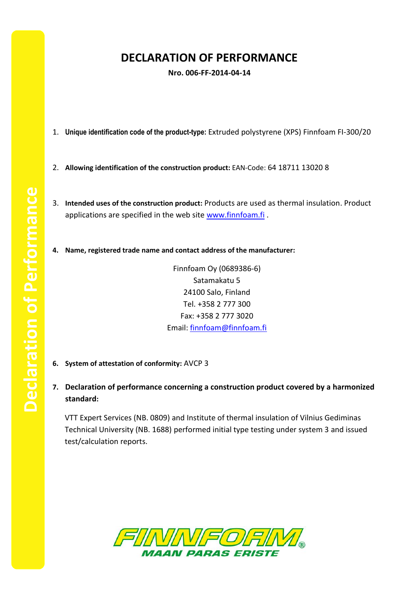## **DECLARATION OF PERFORMANCE**

**Nro. 006-FF-2014-04-14**

- 1. **Unique identification code of the product-type:** Extruded polystyrene (XPS) Finnfoam FI-300/20
- 2. **Allowing identification of the construction product:** EAN-Code: 64 18711 13020 8
- 3. **Intended uses of the construction product:** Products are used as thermal insulation. Product applications are specified in the web site [www.finnfoam.fi](http://www.finnfoam.fi/).
- **4. Name, registered trade name and contact address of the manufacturer:**

Finnfoam Oy (0689386-6) Satamakatu 5 24100 Salo, Finland Tel. +358 2 777 300 Fax: +358 2 777 3020 Email: [finnfoam@finnfoam.fi](mailto:finnfoam@finnfoam.fi)

- **6. System of attestation of conformity:** AVCP 3
- **7. Declaration of performance concerning a construction product covered by a harmonized standard:**

VTT Expert Services (NB. 0809) and Institute of thermal insulation of Vilnius Gediminas Technical University (NB. 1688) performed initial type testing under system 3 and issued test/calculation reports.